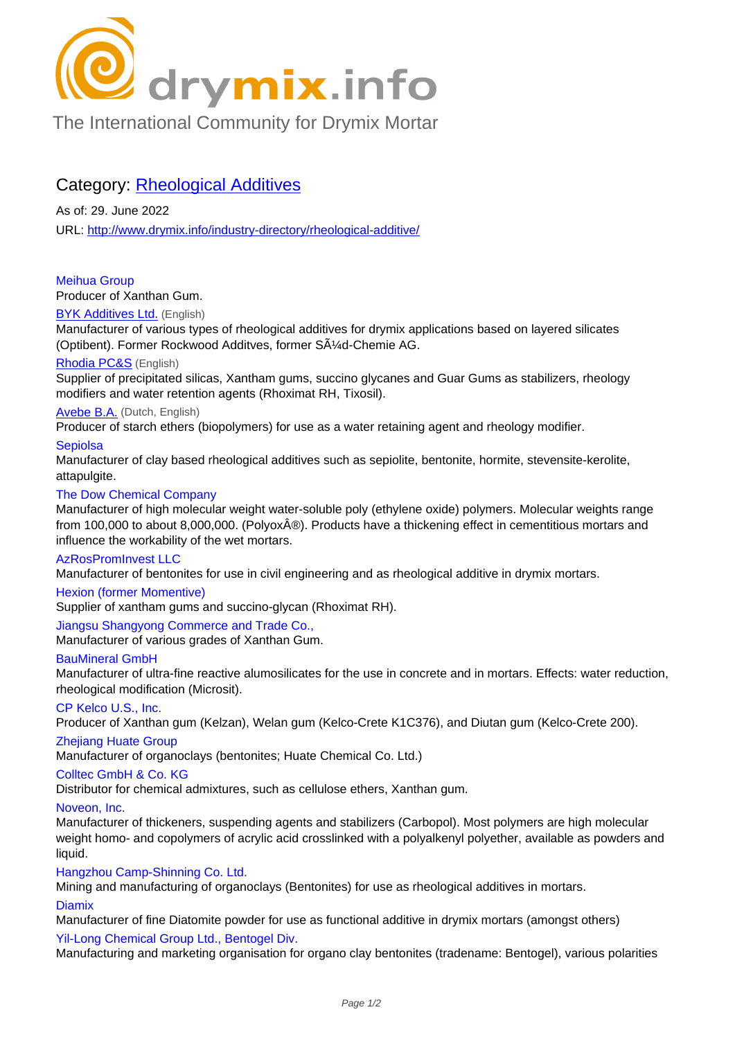

# [The International Community for Drymix Mortar](/industry-directory/)

## Category: Rheological Additives

As of: 29. June 2022 URL: http://www.drymix.info/industry-directory/rheological-additive/

### Meihua Group

Prod[ucer of Xanthan Gum.](http://www.drymix.info/industry-directory/rheological-additive/)

## BYK Additives Ltd. (English)

Manufacturer of various types of rheological additives for drymix applications based on layered silicates (Optibent). Former Rockwood Additves, former  $S\tilde{A}\%$ d-Chemie AG.

## Rhodia PC&S (English)

[Supplier of precipit](http://www.drymix.info/industry-directory/redir.php?lid=7616)ated silicas, Xantham gums, succino glycanes and Guar Gums as stabilizers, rheology modifiers and water retention agents (Rhoximat RH, Tixosil).

#### Avebe B.A. (Dutch, English)

[Producer of st](http://www.drymix.info/industry-directory/redir.php?lid=1380)arch ethers (biopolymers) for use as a water retaining agent and rheology modifier.

#### **Sepiolsa**

Manufacturer of clay based rheological additives such as sepiolite, bentonite, hormite, stevensite-kerolite, [attapulgite.](http://www.drymix.info/industry-directory/redir.php?lid=323)

#### The Dow Chemical Company

Manufacturer of high molecular weight water-soluble poly (ethylene oxide) polymers. Molecular weights range from 100,000 to about 8,000,000. (Polyox®). Products have a thickening effect in cementitious mortars and influence the workability of the wet mortars.

## AzRosPromInvest LLC

Manufacturer of bentonites for use in civil engineering and as rheological additive in drymix mortars.

#### Hexion (former Momentive)

Supplier of xantham gums and succino-glycan (Rhoximat RH).

## Jiangsu Shangyong Commerce and Trade Co.,

Manufacturer of various grades of Xanthan Gum.

#### BauMineral GmbH

Manufacturer of ultra-fine reactive alumosilicates for the use in concrete and in mortars. Effects: water reduction, rheological modification (Microsit).

#### CP Kelco U.S., Inc.

Producer of Xanthan gum (Kelzan), Welan gum (Kelco-Crete K1C376), and Diutan gum (Kelco-Crete 200).

## Zhejiang Huate Group

Manufacturer of organoclays (bentonites; Huate Chemical Co. Ltd.)

#### Colltec GmbH & Co. KG

Distributor for chemical admixtures, such as cellulose ethers, Xanthan gum.

## Noveon, Inc.

Manufacturer of thickeners, suspending agents and stabilizers (Carbopol). Most polymers are high molecular weight homo- and copolymers of acrylic acid crosslinked with a polyalkenyl polyether, available as powders and liquid.

## Hangzhou Camp-Shinning Co. Ltd.

Mining and manufacturing of organoclays (Bentonites) for use as rheological additives in mortars.

#### **Diamix**

Manufacturer of fine Diatomite powder for use as functional additive in drymix mortars (amongst others)

## Yil-Long Chemical Group Ltd., Bentogel Div.

Manufacturing and marketing organisation for organo clay bentonites (tradename: Bentogel), various polarities